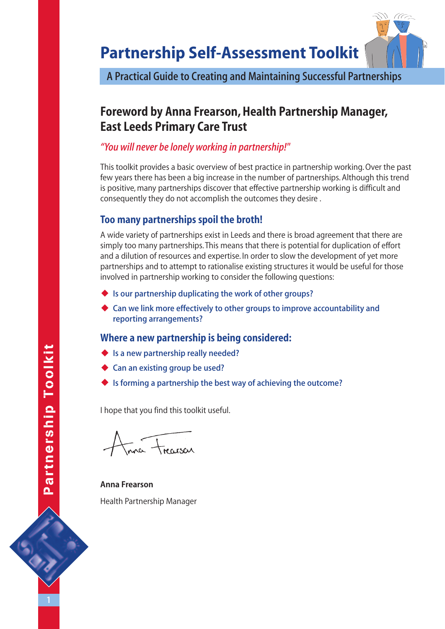

A Practical Guide to Creating and Maintaining Successful Partnerships

## **Foreword by Anna Frearson, Health Partnership Manager, East Leeds Primary Care Trust**

#### *"You will never be lonely working in partnership!"*

This toolkit provides a basic overview of best practice in partnership working. Over the past few years there has been a big increase in the number of partnerships. Although this trend is positive, many partnerships discover that effective partnership working is difficult and consequently they do not accomplish the outcomes they desire .

#### **Too many partnerships spoil the broth!**

A wide variety of partnerships exist in Leeds and there is broad agreement that there are simply too many partnerships.This means that there is potential for duplication of effort and a dilution of resources and expertise. In order to slow the development of yet more partnerships and to attempt to rationalise existing structures it would be useful for those involved in partnership working to consider the following questions:

- $\blacklozenge$  Is our partnership duplicating the work of other groups?
- ◆ Can we link more effectively to other groups to improve accountability and reporting arrangements?

#### **Where a new partnership is being considered:**

- $\blacklozenge$  Is a new partnership really needed?
- ◆ Can an existing group be used?
- $\blacklozenge$  Is forming a partnership the best way of achieving the outcome?

I hope that you find this toolkit useful.

a traiser

**Anna Frearson** Health Partnership Manager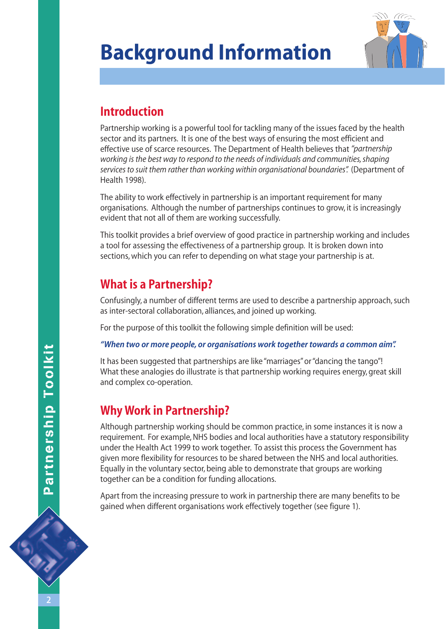# **Background Information**



## **Introduction**

Partnership working is a powerful tool for tackling many of the issues faced by the health sector and its partners. It is one of the best ways of ensuring the most efficient and effective use of scarce resources. The Department of Health believes that *"partnership working is the best way to respond to the needs of individuals and communities, shaping services to suit them rather than working within organisational boundaries".* (Department of Health 1998).

The ability to work effectively in partnership is an important requirement for many organisations. Although the number of partnerships continues to grow, it is increasingly evident that not all of them are working successfully.

This toolkit provides a brief overview of good practice in partnership working and includes a tool for assessing the effectiveness of a partnership group. It is broken down into sections, which you can refer to depending on what stage your partnership is at.

## **What is a Partnership?**

Confusingly, a number of different terms are used to describe a partnership approach, such as inter-sectoral collaboration, alliances, and joined up working.

For the purpose of this toolkit the following simple definition will be used:

#### *"When two or more people, or organisations work together towards a common aim".*

It has been suggested that partnerships are like "marriages" or "dancing the tango"! What these analogies do illustrate is that partnership working requires energy, great skill and complex co-operation.

## **Why Work in Partnership?**

Although partnership working should be common practice, in some instances it is now a requirement. For example, NHS bodies and local authorities have a statutory responsibility under the Health Act 1999 to work together. To assist this process the Government has given more flexibility for resources to be shared between the NHS and local authorities. Equally in the voluntary sector, being able to demonstrate that groups are working together can be a condition for funding allocations.

Apart from the increasing pressure to work in partnership there are many benefits to be gained when different organisations work effectively together (see figure 1).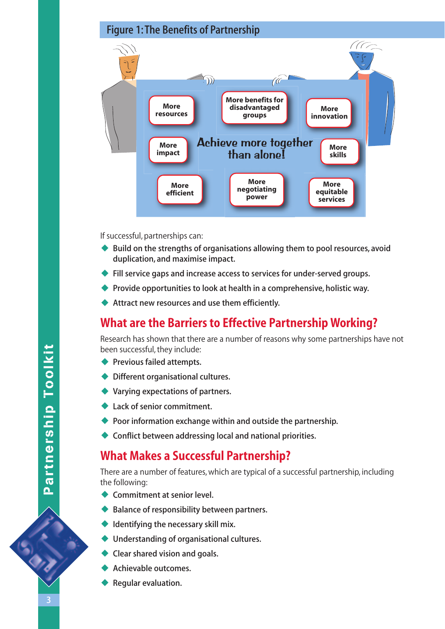### Figure 1: The Benefits of Partnership



If successful, partnerships can:

- $\blacklozenge$  Build on the strengths of organisations allowing them to pool resources, avoid duplication, and maximise impact.
- Fill service gaps and increase access to services for under-served groups.
- Provide opportunities to look at health in a comprehensive, holistic way.
- Attract new resources and use them efficiently. ◆

## **What are the Barriers to Effective Partnership Working?**

Research has shown that there are a number of reasons why some partnerships have not been successful, they include:

- Previous failed attempts.
- Different organisational cultures.
- Varying expectations of partners.
- ◆ Lack of senior commitment.
- Poor information exchange within and outside the partnership.
- Conflict between addressing local and national priorities.

### **What Makes a Successful Partnership?**

There are a number of features, which are typical of a successful partnership, including the following:

- ◆ Commitment at senior level.
- Balance of responsibility between partners.
- Identifying the necessary skill mix.
- Understanding of organisational cultures.
- Clear shared vision and goals.
- Achievable outcomes.
- Regular evaluation.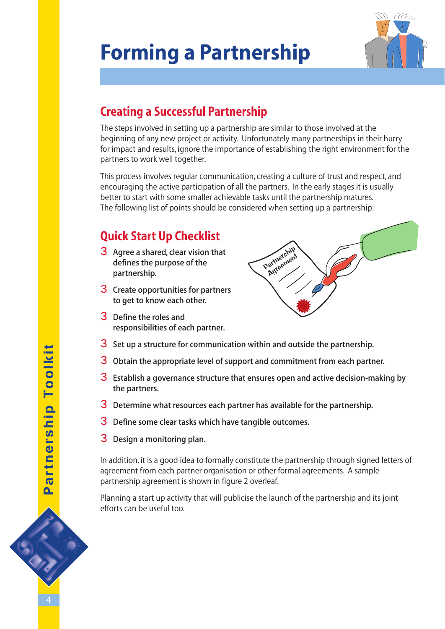# **Forming a Partnership**



## **Creating a Successful Partnership**

The steps involved in setting up a partnership are similar to those involved at the beginning of any new project or activity. Unfortunately many partnerships in their hurry for impact and results, ignore the importance of establishing the right environment for the partners to work well together.

This process involves regular communication, creating a culture of trust and respect, and encouraging the active participation of all the partners. In the early stages it is usually better to start with some smaller achievable tasks until the partnership matures. The following list of points should be considered when setting up a partnership:

## **Quick Start Up Checklist**

- 3 Agree a shared, clear vision that defines the purpose of the partnership.
- 3 Create opportunities for partners to get to know each other.
- 3 Define the roles and responsibilities of each partner.



- 3 Set up a structure for communication within and outside the partnership.
- 3 Obtain the appropriate level of support and commitment from each partner.
- 3 Establish a governance structure that ensures open and active decision-making by the partners.
- $3$  Determine what resources each partner has available for the partnership.
- 3 Define some clear tasks which have tangible outcomes.
- 3 Design a monitoring plan.

In addition, it is a good idea to formally constitute the partnership through signed letters of agreement from each partner organisation or other formal agreements. A sample partnership agreement is shown in figure 2 overleaf.

Planning a start up activity that will publicise the launch of the partnership and its joint efforts can be useful too.

ARTICLE OF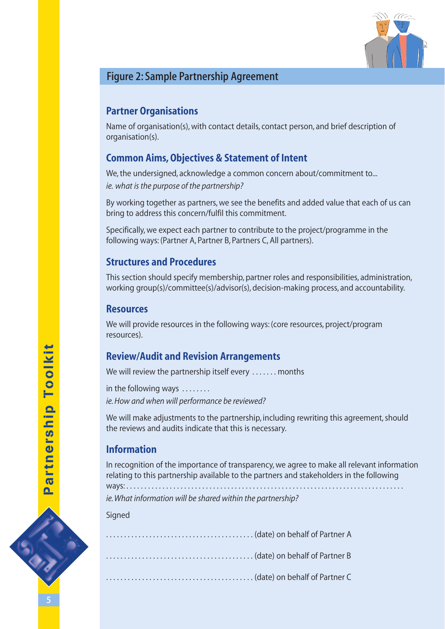

### Figure 2: Sample Partnership Agreement

### **Partner Organisations**

Name of organisation(s), with contact details, contact person, and brief description of organisation(s).

#### **Common Aims, Objectives & Statement of Intent**

We, the undersigned, acknowledge a common concern about/commitment to... *ie. what is the purpose of the partnership?*

By working together as partners, we see the benefits and added value that each of us can bring to address this concern/fulfil this commitment.

Specifically, we expect each partner to contribute to the project/programme in the following ways: (Partner A, Partner B, Partners C, All partners).

#### **Structures and Procedures**

This section should specify membership, partner roles and responsibilities, administration, working group(s)/committee(s)/advisor(s), decision-making process, and accountability.

#### **Resources**

We will provide resources in the following ways: (core resources, project/program resources).

#### **Review/Audit and Revision Arrangements**

We will review the partnership itself every ...... months

in the following ways . . . . . . . . *ie. How and when will performance be reviewed?*

We will make adjustments to the partnership, including rewriting this agreement, should the reviews and audits indicate that this is necessary.

#### **Information**

In recognition of the importance of transparency, we agree to make all relevant information relating to this partnership available to the partners and stakeholders in the following

ways: . . . . . . . . . . . . . . . . . . . . . . . . . . . . . . . . . . . . . . . . . . . . . . . . . . . . . . . . . . . . . . . . . . . . . . . . . . . . .

*ie. What information will be shared within the partnership?*

**Signed** 

SS TON BOOM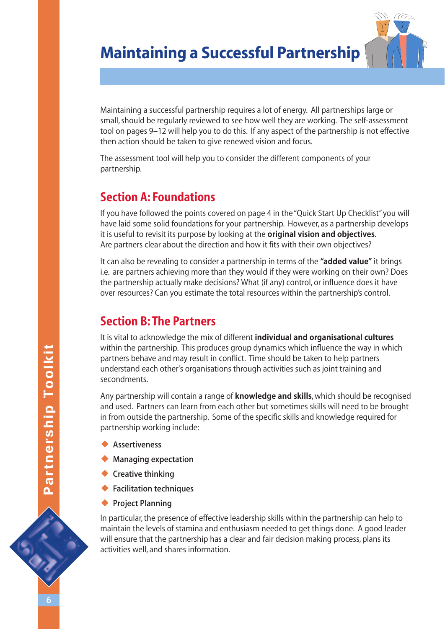Maintaining a successful partnership requires a lot of energy. All partnerships large or small, should be regularly reviewed to see how well they are working. The self-assessment tool on pages 9–12 will help you to do this. If any aspect of the partnership is not effective then action should be taken to give renewed vision and focus.

The assessment tool will help you to consider the different components of your partnership.

## **Section A: Foundations**

If you have followed the points covered on page 4 in the "Quick Start Up Checklist" you will have laid some solid foundations for your partnership. However, as a partnership develops it is useful to revisit its purpose by looking at the **original vision and objectives**. Are partners clear about the direction and how it fits with their own objectives?

It can also be revealing to consider a partnership in terms of the **"added value"** it brings i.e. are partners achieving more than they would if they were working on their own? Does the partnership actually make decisions? What (if any) control, or influence does it have over resources? Can you estimate the total resources within the partnership's control.

## **Section B: The Partners**

It is vital to acknowledge the mix of different **individual and organisational cultures** within the partnership. This produces group dynamics which influence the way in which partners behave and may result in conflict. Time should be taken to help partners understand each other's organisations through activities such as joint training and secondments.

Any partnership will contain a range of **knowledge and skills**, which should be recognised and used. Partners can learn from each other but sometimes skills will need to be brought in from outside the partnership. Some of the specific skills and knowledge required for partnership working include:

- Assertiveness
- Managing expectation
- $\blacklozenge$  Creative thinking
- Facilitation techniques
- ◆ Project Planning

In particular, the presence of effective leadership skills within the partnership can help to maintain the levels of stamina and enthusiasm needed to get things done. A good leader will ensure that the partnership has a clear and fair decision making process, plans its activities well, and shares information.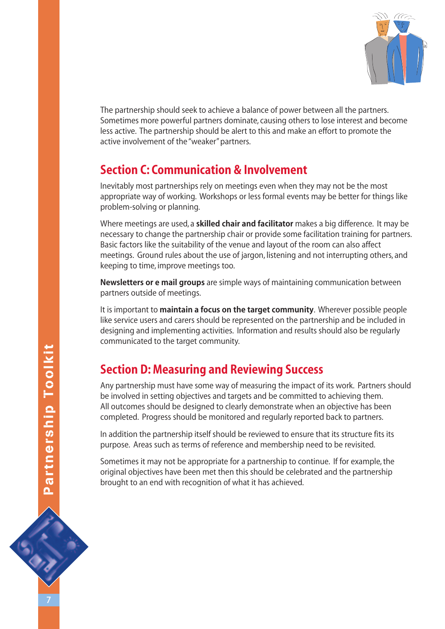

The partnership should seek to achieve a balance of power between all the partners. Sometimes more powerful partners dominate, causing others to lose interest and become less active. The partnership should be alert to this and make an effort to promote the active involvement of the "weaker" partners.

## **Section C: Communication & Involvement**

Inevitably most partnerships rely on meetings even when they may not be the most appropriate way of working. Workshops or less formal events may be better for things like problem-solving or planning.

Where meetings are used, a **skilled chair and facilitator** makes a big difference. It may be necessary to change the partnership chair or provide some facilitation training for partners. Basic factors like the suitability of the venue and layout of the room can also affect meetings. Ground rules about the use of jargon, listening and not interrupting others, and keeping to time, improve meetings too.

**Newsletters or e mail groups** are simple ways of maintaining communication between partners outside of meetings.

It is important to **maintain a focus on the target community**. Wherever possible people like service users and carers should be represented on the partnership and be included in designing and implementing activities. Information and results should also be regularly communicated to the target community.

## **Section D: Measuring and Reviewing Success**

Any partnership must have some way of measuring the impact of its work. Partners should be involved in setting objectives and targets and be committed to achieving them. All outcomes should be designed to clearly demonstrate when an objective has been completed. Progress should be monitored and regularly reported back to partners.

In addition the partnership itself should be reviewed to ensure that its structure fits its purpose. Areas such as terms of reference and membership need to be revisited.

Sometimes it may not be appropriate for a partnership to continue. If for example, the original objectives have been met then this should be celebrated and the partnership brought to an end with recognition of what it has achieved.

**CALLADOR**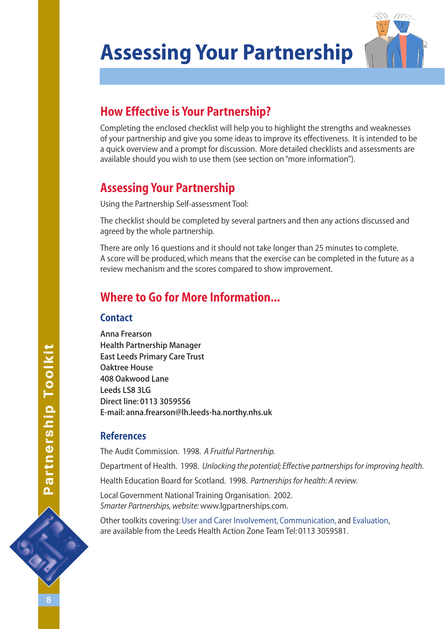## **Assessing Your Partnership**



## **How Effective is Your Partnership?**

Completing the enclosed checklist will help you to highlight the strengths and weaknesses of your partnership and give you some ideas to improve its effectiveness. It is intended to be a quick overview and a prompt for discussion. More detailed checklists and assessments are available should you wish to use them (see section on "more information").

## **Assessing Your Partnership**

Using the Partnership Self-assessment Tool:

The checklist should be completed by several partners and then any actions discussed and agreed by the whole partnership.

There are only 16 questions and it should not take longer than 25 minutes to complete. A score will be produced, which means that the exercise can be completed in the future as a review mechanism and the scores compared to show improvement.

## **Where to Go for More Information...**

#### **Contact**

Anna Frearson Health Partnership Manager East Leeds Primary Care Trust Oaktree House 408 Oakwood Lane Leeds LS8 3LG Direct line: 0113 3059556 E-mail: anna.frearson@lh.leeds-ha.northy.nhs.uk

### **References**

The Audit Commission. 1998. *A Fruitful Partnership.*

Department of Health. 1998. *Unlocking the potential; Effective partnerships for improving health.*

Health Education Board for Scotland. 1998. *Partnerships for health: A review.*

Local Government National Training Organisation. 2002. *Smarter Partnerships, website:*www.lgpartnerships.com.

Other toolkits covering:User and Carer Involvement, Communication, and Evaluation, are available from the Leeds Health Action Zone Team Tel: 0113 3059581.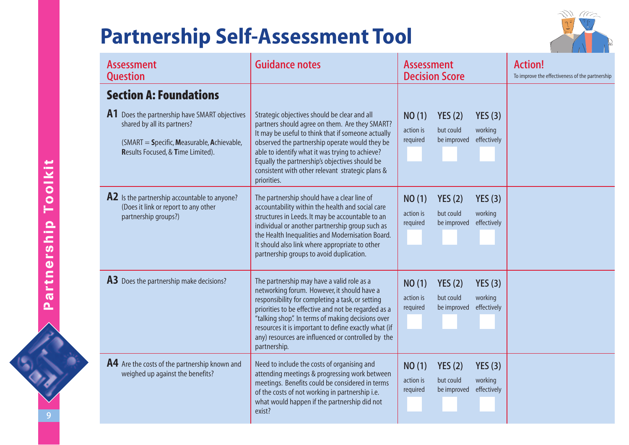

| <b>Assessment</b><br><b>Question</b>                                                                                                                                                                    | <b>Guidance notes</b>                                                                                                                                                                                                                                                                                                                                                                   | <b>Assessment</b><br><b>Decision Score</b>                                                               | <b>Action!</b><br>To improve the effectiveness of the partnership |
|---------------------------------------------------------------------------------------------------------------------------------------------------------------------------------------------------------|-----------------------------------------------------------------------------------------------------------------------------------------------------------------------------------------------------------------------------------------------------------------------------------------------------------------------------------------------------------------------------------------|----------------------------------------------------------------------------------------------------------|-------------------------------------------------------------------|
| <b>Section A: Foundations</b><br><b>A1</b> Does the partnership have SMART objectives<br>shared by all its partners?<br>(SMART = Specific, Measurable, Achievable,<br>Results Focused, & Time Limited). | Strategic objectives should be clear and all<br>partners should agree on them. Are they SMART?<br>It may be useful to think that if someone actually<br>observed the partnership operate would they be<br>able to identify what it was trying to achieve?<br>Equally the partnership's objectives should be<br>consistent with other relevant strategic plans &<br>priorities.          | YES(3)<br>NO(1)<br>YES(2)<br>working<br>action is<br>but could<br>be improved<br>effectively<br>required |                                                                   |
| A2 Is the partnership accountable to anyone?<br>(Does it link or report to any other<br>partnership groups?)                                                                                            | The partnership should have a clear line of<br>accountability within the health and social care<br>structures in Leeds. It may be accountable to an<br>individual or another partnership group such as<br>the Health Inequalities and Modernisation Board.<br>It should also link where appropriate to other<br>partnership groups to avoid duplication.                                | YES(2)<br>YES(3)<br>NO(1)<br>working<br>action is<br>but could<br>be improved<br>effectively<br>required |                                                                   |
| <b>A3</b> Does the partnership make decisions?                                                                                                                                                          | The partnership may have a valid role as a<br>networking forum. However, it should have a<br>responsibility for completing a task, or setting<br>priorities to be effective and not be regarded as a<br>"talking shop". In terms of making decisions over<br>resources it is important to define exactly what (if<br>any) resources are influenced or controlled by the<br>partnership. | NO(1)<br>YES(2)<br>YES(3)<br>working<br>action is<br>but could<br>be improved<br>effectively<br>required |                                                                   |
| A4 Are the costs of the partnership known and<br>weighed up against the benefits?                                                                                                                       | Need to include the costs of organising and<br>attending meetings & progressing work between<br>meetings. Benefits could be considered in terms<br>of the costs of not working in partnership i.e.<br>what would happen if the partnership did not<br>exist?                                                                                                                            | NO(1)<br>YES(2)<br>YES(3)<br>action is<br>working<br>but could<br>be improved<br>effectively<br>required |                                                                   |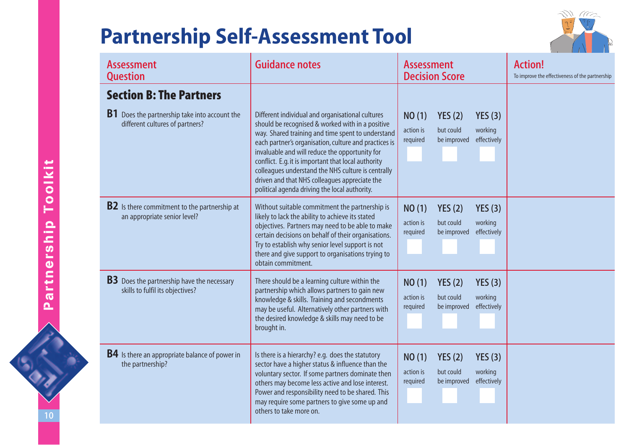

| <b>Assessment</b><br><b>Question</b>                                                                                      | <b>Guidance notes</b>                                                                                                                                                                                                                                                                                                                                                                                                                                                               | <b>Assessment</b><br><b>Decision Score</b>                                                               | <b>Action!</b><br>To improve the effectiveness of the partnership |
|---------------------------------------------------------------------------------------------------------------------------|-------------------------------------------------------------------------------------------------------------------------------------------------------------------------------------------------------------------------------------------------------------------------------------------------------------------------------------------------------------------------------------------------------------------------------------------------------------------------------------|----------------------------------------------------------------------------------------------------------|-------------------------------------------------------------------|
| <b>Section B: The Partners</b><br><b>B1</b> Does the partnership take into account the<br>different cultures of partners? | Different individual and organisational cultures<br>should be recognised & worked with in a positive<br>way. Shared training and time spent to understand<br>each partner's organisation, culture and practices is<br>invaluable and will reduce the opportunity for<br>conflict. E.g. it is important that local authority<br>colleagues understand the NHS culture is centrally<br>driven and that NHS colleagues appreciate the<br>political agenda driving the local authority. | YES(3)<br>NO(1)<br>YES(2)<br>action is<br>working<br>but could<br>effectively<br>required<br>be improved |                                                                   |
| <b>B2</b> Is there commitment to the partnership at<br>an appropriate senior level?                                       | Without suitable commitment the partnership is<br>likely to lack the ability to achieve its stated<br>objectives. Partners may need to be able to make<br>certain decisions on behalf of their organisations.<br>Try to establish why senior level support is not<br>there and give support to organisations trying to<br>obtain commitment.                                                                                                                                        | NO(1)<br>YES(3)<br>YES(2)<br>working<br>action is<br>but could<br>be improved<br>required<br>effectively |                                                                   |
| <b>B3</b> Does the partnership have the necessary<br>skills to fulfil its objectives?                                     | There should be a learning culture within the<br>partnership which allows partners to gain new<br>knowledge & skills. Training and secondments<br>may be useful. Alternatively other partners with<br>the desired knowledge & skills may need to be<br>brought in.                                                                                                                                                                                                                  | NO(1)<br>YES(2)<br>YES(3)<br>working<br>action is<br>but could<br>be improved<br>effectively<br>required |                                                                   |
| <b>B4</b> Is there an appropriate balance of power in<br>the partnership?                                                 | Is there is a hierarchy? e.g. does the statutory<br>sector have a higher status & influence than the<br>voluntary sector. If some partners dominate then<br>others may become less active and lose interest.<br>Power and responsibility need to be shared. This<br>may require some partners to give some up and<br>others to take more on.                                                                                                                                        | NO(1)<br>YES(2)<br>YES(3)<br>action is<br>but could<br>working<br>be improved<br>effectively<br>required |                                                                   |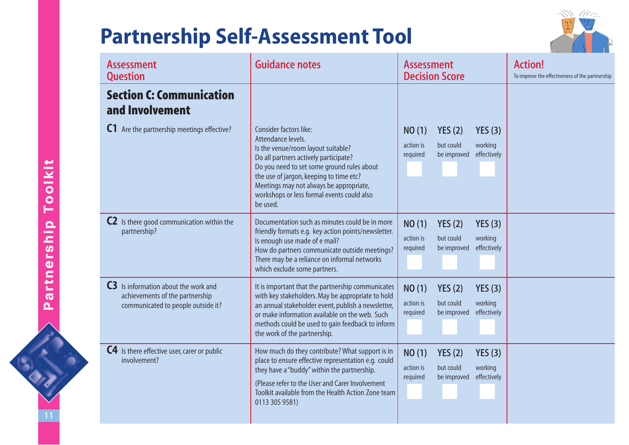

| <b>Assessment</b><br><b>Question</b>                                                                                 | <b>Guidance notes</b>                                                                                                                                                                                                                                                                                                     | <b>Assessment</b><br><b>Decision Score</b>                                                               | <b>Action!</b><br>To improve the effectiveness of the partnership |
|----------------------------------------------------------------------------------------------------------------------|---------------------------------------------------------------------------------------------------------------------------------------------------------------------------------------------------------------------------------------------------------------------------------------------------------------------------|----------------------------------------------------------------------------------------------------------|-------------------------------------------------------------------|
| <b>Section C: Communication</b><br>and Involvement                                                                   |                                                                                                                                                                                                                                                                                                                           |                                                                                                          |                                                                   |
| C1 Are the partnership meetings effective?                                                                           | Consider factors like:<br>Attendance levels.<br>Is the venue/room layout suitable?<br>Do all partners actively participate?<br>Do you need to set some ground rules about<br>the use of jargon, keeping to time etc?<br>Meetings may not always be appropriate,<br>workshops or less formal events could also<br>be used. | YES(3)<br>NO(1)<br>YES(2)<br>working<br>action is<br>but could<br>be improved<br>effectively<br>required |                                                                   |
| <b>C2</b> Is there good communication within the<br>partnership?                                                     | Documentation such as minutes could be in more<br>friendly formats e.g. key action points/newsletter.<br>Is enough use made of e mail?<br>How do partners communicate outside meetings?<br>There may be a reliance on informal networks<br>which exclude some partners.                                                   | NO(1)<br>YES(2)<br>YES(3)<br>action is<br>working<br>but could<br>be improved<br>effectively<br>required |                                                                   |
| <b>C3</b> Is information about the work and<br>achievements of the partnership<br>communicated to people outside it? | It is important that the partnership communicates<br>with key stakeholders. May be appropriate to hold<br>an annual stakeholder event, publish a newsletter,<br>or make information available on the web. Such<br>methods could be used to gain feedback to inform<br>the work of the partnership.                        | NO(1)<br>YES(2)<br>YES(3)<br>working<br>action is<br>but could<br>be improved<br>effectively<br>required |                                                                   |
| C4 Is there effective user, carer or public<br>involvement?                                                          | How much do they contribute? What support is in<br>place to ensure effective representation e.g. could<br>they have a "buddy" within the partnership.<br>(Please refer to the User and Carer Involvement)<br>Toolkit available from the Health Action Zone team<br>0113 305 9581)                                         | NO(1)<br>YES(2)<br>YES(3)<br>action is<br>working<br>but could<br>required<br>be improved<br>effectively |                                                                   |

11